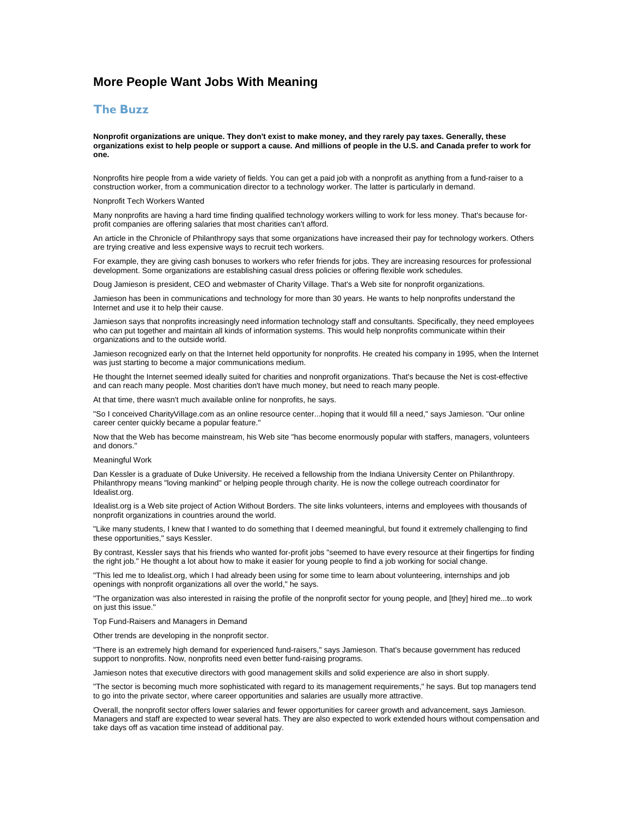# **More People Want Jobs With Meaning**

## **The Buzz**

**Nonprofit organizations are unique. They don't exist to make money, and they rarely pay taxes. Generally, these organizations exist to help people or support a cause. And millions of people in the U.S. and Canada prefer to work for one.** 

Nonprofits hire people from a wide variety of fields. You can get a paid job with a nonprofit as anything from a fund-raiser to a construction worker, from a communication director to a technology worker. The latter is particularly in demand.

Nonprofit Tech Workers Wanted

Many nonprofits are having a hard time finding qualified technology workers willing to work for less money. That's because forprofit companies are offering salaries that most charities can't afford.

An article in the Chronicle of Philanthropy says that some organizations have increased their pay for technology workers. Others are trying creative and less expensive ways to recruit tech workers.

For example, they are giving cash bonuses to workers who refer friends for jobs. They are increasing resources for professional development. Some organizations are establishing casual dress policies or offering flexible work schedules.

Doug Jamieson is president, CEO and webmaster of Charity Village. That's a Web site for nonprofit organizations.

Jamieson has been in communications and technology for more than 30 years. He wants to help nonprofits understand the Internet and use it to help their cause.

Jamieson says that nonprofits increasingly need information technology staff and consultants. Specifically, they need employees who can put together and maintain all kinds of information systems. This would help nonprofits communicate within their organizations and to the outside world.

Jamieson recognized early on that the Internet held opportunity for nonprofits. He created his company in 1995, when the Internet was just starting to become a major communications medium.

He thought the Internet seemed ideally suited for charities and nonprofit organizations. That's because the Net is cost-effective and can reach many people. Most charities don't have much money, but need to reach many people.

At that time, there wasn't much available online for nonprofits, he says.

"So I conceived CharityVillage.com as an online resource center...hoping that it would fill a need," says Jamieson. "Our online career center quickly became a popular feature."

Now that the Web has become mainstream, his Web site "has become enormously popular with staffers, managers, volunteers and donors."

### Meaningful Work

Dan Kessler is a graduate of Duke University. He received a fellowship from the Indiana University Center on Philanthropy. Philanthropy means "loving mankind" or helping people through charity. He is now the college outreach coordinator for Idealist.org.

Idealist.org is a Web site project of Action Without Borders. The site links volunteers, interns and employees with thousands of nonprofit organizations in countries around the world.

"Like many students, I knew that I wanted to do something that I deemed meaningful, but found it extremely challenging to find these opportunities," says Kessler.

By contrast, Kessler says that his friends who wanted for-profit jobs "seemed to have every resource at their fingertips for finding the right job." He thought a lot about how to make it easier for young people to find a job working for social change.

"This led me to Idealist.org, which I had already been using for some time to learn about volunteering, internships and job openings with nonprofit organizations all over the world," he says.

"The organization was also interested in raising the profile of the nonprofit sector for young people, and [they] hired me...to work on just this issue."

Top Fund-Raisers and Managers in Demand

Other trends are developing in the nonprofit sector.

"There is an extremely high demand for experienced fund-raisers," says Jamieson. That's because government has reduced support to nonprofits. Now, nonprofits need even better fund-raising programs.

Jamieson notes that executive directors with good management skills and solid experience are also in short supply.

"The sector is becoming much more sophisticated with regard to its management requirements," he says. But top managers tend to go into the private sector, where career opportunities and salaries are usually more attractive.

Overall, the nonprofit sector offers lower salaries and fewer opportunities for career growth and advancement, says Jamieson. Managers and staff are expected to wear several hats. They are also expected to work extended hours without compensation and take days off as vacation time instead of additional pay.